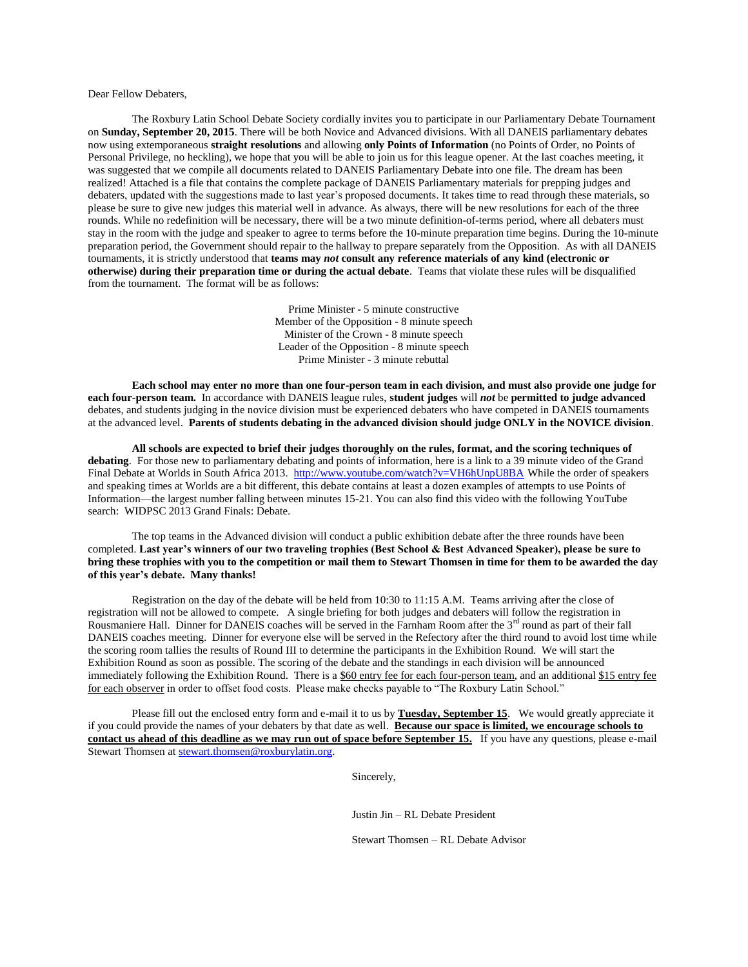Dear Fellow Debaters,

The Roxbury Latin School Debate Society cordially invites you to participate in our Parliamentary Debate Tournament on **Sunday, September 20, 2015**. There will be both Novice and Advanced divisions. With all DANEIS parliamentary debates now using extemporaneous **straight resolutions** and allowing **only Points of Information** (no Points of Order, no Points of Personal Privilege, no heckling), we hope that you will be able to join us for this league opener. At the last coaches meeting, it was suggested that we compile all documents related to DANEIS Parliamentary Debate into one file. The dream has been realized! Attached is a file that contains the complete package of DANEIS Parliamentary materials for prepping judges and debaters, updated with the suggestions made to last year's proposed documents. It takes time to read through these materials, so please be sure to give new judges this material well in advance. As always, there will be new resolutions for each of the three rounds. While no redefinition will be necessary, there will be a two minute definition-of-terms period, where all debaters must stay in the room with the judge and speaker to agree to terms before the 10-minute preparation time begins. During the 10-minute preparation period, the Government should repair to the hallway to prepare separately from the Opposition. As with all DANEIS tournaments, it is strictly understood that **teams may** *not* **consult any reference materials of any kind (electronic or otherwise) during their preparation time or during the actual debate**. Teams that violate these rules will be disqualified from the tournament. The format will be as follows:

> Prime Minister - 5 minute constructive Member of the Opposition - 8 minute speech Minister of the Crown - 8 minute speech Leader of the Opposition - 8 minute speech Prime Minister - 3 minute rebuttal

**Each school may enter no more than one four-person team in each division, and must also provide one judge for each four-person team.** In accordance with DANEIS league rules, **student judges** will *not* be **permitted to judge advanced** debates, and students judging in the novice division must be experienced debaters who have competed in DANEIS tournaments at the advanced level. **Parents of students debating in the advanced division should judge ONLY in the NOVICE division**.

**All schools are expected to brief their judges thoroughly on the rules, format, and the scoring techniques of debating**. For those new to parliamentary debating and points of information, here is a link to a 39 minute video of the Grand Final Debate at Worlds in South Africa 2013.<http://www.youtube.com/watch?v=VH6hUnpU8BA> While the order of speakers and speaking times at Worlds are a bit different, this debate contains at least a dozen examples of attempts to use Points of Information—the largest number falling between minutes 15-21. You can also find this video with the following YouTube search: WIDPSC 2013 Grand Finals: Debate.

The top teams in the Advanced division will conduct a public exhibition debate after the three rounds have been completed. **Last year's winners of our two traveling trophies (Best School & Best Advanced Speaker), please be sure to bring these trophies with you to the competition or mail them to Stewart Thomsen in time for them to be awarded the day of this year's debate. Many thanks!**

Registration on the day of the debate will be held from 10:30 to 11:15 A.M. Teams arriving after the close of registration will not be allowed to compete. A single briefing for both judges and debaters will follow the registration in Rousmaniere Hall. Dinner for DANEIS coaches will be served in the Farnham Room after the  $3<sup>rd</sup>$  round as part of their fall DANEIS coaches meeting. Dinner for everyone else will be served in the Refectory after the third round to avoid lost time while the scoring room tallies the results of Round III to determine the participants in the Exhibition Round. We will start the Exhibition Round as soon as possible. The scoring of the debate and the standings in each division will be announced immediately following the Exhibition Round. There is a \$60 entry fee for each four-person team, and an additional \$15 entry fee for each observer in order to offset food costs. Please make checks payable to "The Roxbury Latin School."

Please fill out the enclosed entry form and e-mail it to us by **Tuesday, September 15**. We would greatly appreciate it if you could provide the names of your debaters by that date as well. **Because our space is limited, we encourage schools to contact us ahead of this deadline as we may run out of space before September 15.** If you have any questions, please e-mail Stewart Thomsen at [stewart.thomsen@roxburylatin.org.](mailto:stewart.thomsen@roxburylatin.org)

Sincerely,

Justin Jin – RL Debate President

Stewart Thomsen – RL Debate Advisor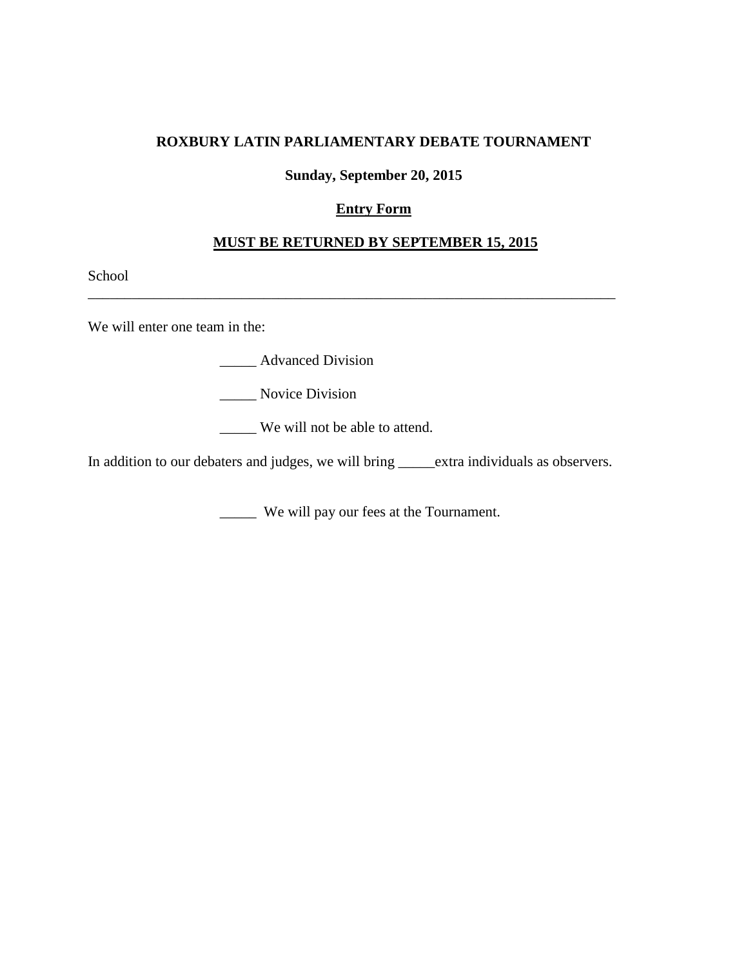## **ROXBURY LATIN PARLIAMENTARY DEBATE TOURNAMENT**

#### **Sunday, September 20, 2015**

## **Entry Form**

### **MUST BE RETURNED BY SEPTEMBER 15, 2015**

\_\_\_\_\_\_\_\_\_\_\_\_\_\_\_\_\_\_\_\_\_\_\_\_\_\_\_\_\_\_\_\_\_\_\_\_\_\_\_\_\_\_\_\_\_\_\_\_\_\_\_\_\_\_\_\_\_\_\_\_\_\_\_\_\_\_\_\_\_\_\_\_

School

We will enter one team in the:

**\_\_\_\_\_** Advanced Division

\_\_\_\_\_ Novice Division

\_\_\_\_\_ We will not be able to attend.

In addition to our debaters and judges, we will bring \_\_\_\_\_extra individuals as observers.

\_\_\_\_\_ We will pay our fees at the Tournament.